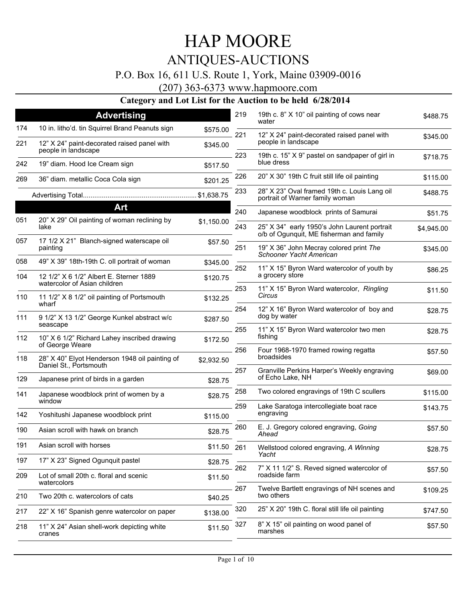### P.O. Box 16, 611 U.S. Route 1, York, Maine 03909-0016

(207) 363-6373 www.hapmoore.com

| \$345.00<br>\$718.75<br>\$115.00<br>\$488.75<br>\$51.75 |
|---------------------------------------------------------|
|                                                         |
|                                                         |
|                                                         |
|                                                         |
|                                                         |
|                                                         |
|                                                         |
| \$4,945.00                                              |
|                                                         |
| \$345.00                                                |
| \$86.25                                                 |
| \$11.50                                                 |
|                                                         |
| \$28.75                                                 |
|                                                         |
| \$57.50                                                 |
| \$69.00                                                 |
| \$115.00                                                |
| \$143.75                                                |
| \$57.50                                                 |
| \$28.75                                                 |
|                                                         |
| \$57.50                                                 |
| \$109.25                                                |
| \$747.50                                                |
| \$57.50                                                 |
|                                                         |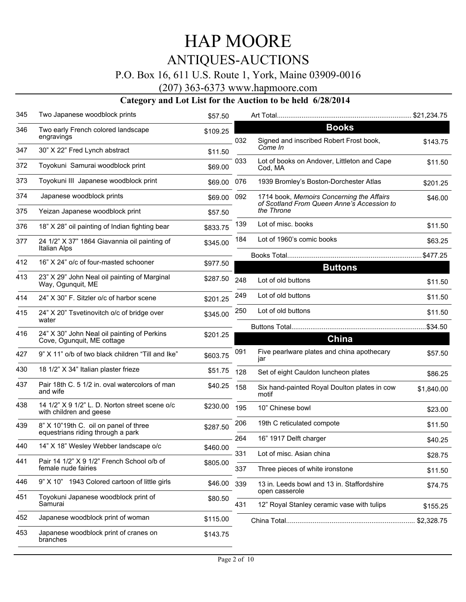## P.O. Box 16, 611 U.S. Route 1, York, Maine 03909-0016

(207) 363-6373 www.hapmoore.com

| 345 | Two Japanese woodblock prints                                             | \$57.50  |     |                                                                                         | \$21,234.75 |
|-----|---------------------------------------------------------------------------|----------|-----|-----------------------------------------------------------------------------------------|-------------|
| 346 | Two early French colored landscape<br>engravings                          | \$109.25 | 032 | <b>Books</b><br>Signed and inscribed Robert Frost book,                                 | \$143.75    |
| 347 | 30" X 22" Fred Lynch abstract                                             | \$11.50  |     | Come In                                                                                 |             |
| 372 | Toyokuni Samurai woodblock print                                          | \$69.00  | 033 | Lot of books on Andover, Littleton and Cape<br>Cod, MA                                  | \$11.50     |
| 373 | Toyokuni III Japanese woodblock print                                     | \$69.00  | 076 | 1939 Bromley's Boston-Dorchester Atlas                                                  | \$201.25    |
| 374 | Japanese woodblock prints                                                 | \$69.00  | 092 | 1714 book, Memoirs Concerning the Affairs<br>of Scotland From Queen Anne's Accession to | \$46.00     |
| 375 | Yeizan Japanese woodblock print                                           | \$57.50  |     | the Throne                                                                              |             |
| 376 | 18" X 28" oil painting of Indian fighting bear                            | \$833.75 | 139 | Lot of misc. books                                                                      | \$11.50     |
| 377 | 24 1/2" X 37" 1864 Giavannia oil painting of<br><b>Italian Alps</b>       | \$345.00 | 184 | Lot of 1960's comic books                                                               | \$63.25     |
| 412 | 16" X 24" o/c of four-masted schooner                                     | \$977.50 |     |                                                                                         | \$477.25    |
| 413 | 23" X 29" John Neal oil painting of Marginal                              |          |     | <b>Buttons</b>                                                                          |             |
|     | Way, Ogunquit, ME                                                         | \$287.50 | 248 | Lot of old buttons                                                                      | \$11.50     |
| 414 | 24" X 30" F. Sitzler o/c of harbor scene                                  | \$201.25 | 249 | Lot of old buttons                                                                      | \$11.50     |
| 415 | 24" X 20" Tsvetinovitch o/c of bridge over<br>water                       | \$345.00 | 250 | Lot of old buttons                                                                      | \$11.50     |
| 416 | 24" X 30" John Neal oil painting of Perkins                               | \$201.25 |     |                                                                                         | \$34.50     |
|     | Cove, Ogunquit, ME cottage                                                |          |     | China                                                                                   |             |
| 427 | 9" X 11" o/b of two black children "Till and Ike"                         | \$603.75 | 091 | Five pearlware plates and china apothecary<br>jar                                       | \$57.50     |
| 430 | 18 1/2" X 34" Italian plaster frieze                                      | \$51.75  | 128 | Set of eight Cauldon luncheon plates                                                    | \$86.25     |
| 437 | Pair 18th C. 5 1/2 in. oval watercolors of man<br>and wife                | \$40.25  | 158 | Six hand-painted Royal Doulton plates in cow<br>motif                                   | \$1,840.00  |
| 438 | 14 1/2" X 9 1/2" L. D. Norton street scene o/c<br>with children and geese | \$230.00 | 195 | 10" Chinese bowl                                                                        | \$23.00     |
| 439 | 8" X 10"19th C. oil on panel of three                                     | \$287.50 | 206 | 19th C reticulated compote                                                              | \$11.50     |
|     | equestrians riding through a park                                         |          | 264 | 16" 1917 Delft charger                                                                  | \$40.25     |
| 440 | 14" X 18" Wesley Webber landscape o/c                                     | \$460.00 | 331 | Lot of misc. Asian china                                                                | \$28.75     |
| 441 | Pair 14 1/2" X 9 1/2" French School o/b of<br>female nude fairies         | \$805.00 | 337 | Three pieces of white ironstone                                                         | \$11.50     |
| 446 | 9" X 10" 1943 Colored cartoon of little girls                             | \$46.00  | 339 | 13 in. Leeds bowl and 13 in. Staffordshire<br>open casserole                            | \$74.75     |
| 451 | Toyokuni Japanese woodblock print of<br>Samurai                           | \$80.50  | 431 | 12" Royal Stanley ceramic vase with tulips                                              | \$155.25    |
| 452 | Japanese woodblock print of woman                                         | \$115.00 |     |                                                                                         | \$2,328.75  |
| 453 | Japanese woodblock print of cranes on<br>branches                         | \$143.75 |     |                                                                                         |             |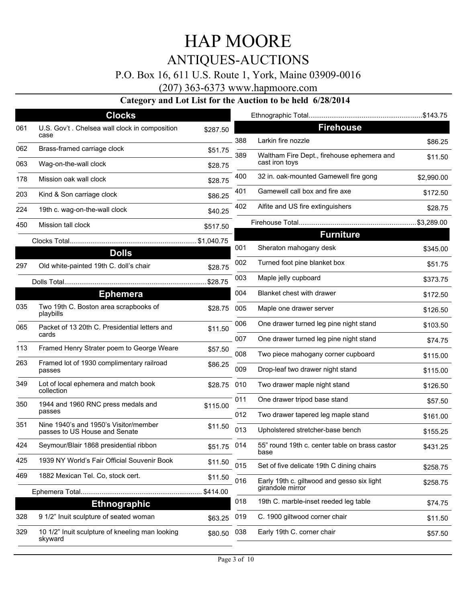### P.O. Box 16, 611 U.S. Route 1, York, Maine 03909-0016

(207) 363-6373 www.hapmoore.com

|     | <b>Clocks</b>                                                          |          |     |                                                              |            |
|-----|------------------------------------------------------------------------|----------|-----|--------------------------------------------------------------|------------|
| 061 | U.S. Gov't . Chelsea wall clock in composition<br>case                 | \$287.50 |     | <b>Firehouse</b>                                             |            |
| 062 | Brass-framed carriage clock                                            |          | 388 | Larkin fire nozzle                                           | \$86.25    |
| 063 |                                                                        | \$51.75  | 389 | Waltham Fire Dept., firehouse ephemera and<br>cast iron toys | \$11.50    |
|     | Wag-on-the-wall clock                                                  | \$28.75  | 400 | 32 in. oak-mounted Gamewell fire gong                        |            |
| 178 | Mission oak wall clock                                                 | \$28.75  |     |                                                              | \$2,990.00 |
| 203 | Kind & Son carriage clock                                              | \$86.25  | 401 | Gamewell call box and fire axe                               | \$172.50   |
| 224 | 19th c. wag-on-the-wall clock                                          | \$40.25  | 402 | Alfite and US fire extinguishers                             | \$28.75    |
| 450 | Mission tall clock                                                     | \$517.50 |     |                                                              |            |
|     |                                                                        |          |     | <b>Furniture</b>                                             |            |
|     | <b>Dolls</b>                                                           |          | 001 | Sheraton mahogany desk                                       | \$345.00   |
| 297 | Old white-painted 19th C. doll's chair                                 | \$28.75  | 002 | Turned foot pine blanket box                                 | \$51.75    |
|     |                                                                        | \$28.75  | 003 | Maple jelly cupboard                                         | \$373.75   |
|     | <b>Ephemera</b>                                                        |          | 004 | Blanket chest with drawer                                    | \$172.50   |
| 035 | Two 19th C. Boston area scrapbooks of<br>playbills                     | \$28.75  | 005 | Maple one drawer server                                      | \$126.50   |
| 065 | Packet of 13 20th C. Presidential letters and                          | \$11.50  | 006 | One drawer turned leg pine night stand                       | \$103.50   |
|     | cards                                                                  |          | 007 | One drawer turned leg pine night stand                       | \$74.75    |
| 113 | Framed Henry Strater poem to George Weare                              | \$57.50  | 008 | Two piece mahogany corner cupboard                           | \$115.00   |
| 263 | Framed lot of 1930 complimentary railroad<br>passes                    | \$86.25  | 009 | Drop-leaf two drawer night stand                             | \$115.00   |
| 349 | Lot of local ephemera and match book<br>collection                     | \$28.75  | 010 | Two drawer maple night stand                                 | \$126.50   |
| 350 | 1944 and 1960 RNC press medals and                                     | \$115.00 | 011 | One drawer tripod base stand                                 | \$57.50    |
|     | passes                                                                 |          | 012 | Two drawer tapered leg maple stand                           | \$161.00   |
| 351 | Nine 1940's and 1950's Visitor/member<br>passes to US House and Senate | \$11.50  | 013 | Upholstered stretcher-base bench                             | \$155.25   |
| 424 | Seymour/Blair 1868 presidential ribbon                                 | \$51.75  | 014 | 55" round 19th c. center table on brass castor<br>base       | \$431.25   |
| 425 | 1939 NY World's Fair Official Souvenir Book                            | \$11.50  | 015 | Set of five delicate 19th C dining chairs                    | \$258.75   |
| 469 | 1882 Mexican Tel. Co, stock cert.                                      | \$11.50  | 016 | Early 19th c. giltwood and gesso six light                   | \$258.75   |
|     |                                                                        | \$414.00 |     | girandole mirror                                             |            |
|     | <b>Ethnographic</b>                                                    |          | 018 | 19th C. marble-inset reeded leg table                        | \$74.75    |
| 328 | 9 1/2" Inuit sculpture of seated woman                                 | \$63.25  | 019 | C. 1900 giltwood corner chair                                | \$11.50    |
| 329 | 10 1/2" Inuit sculpture of kneeling man looking<br>skyward             | \$80.50  | 038 | Early 19th C. corner chair                                   | \$57.50    |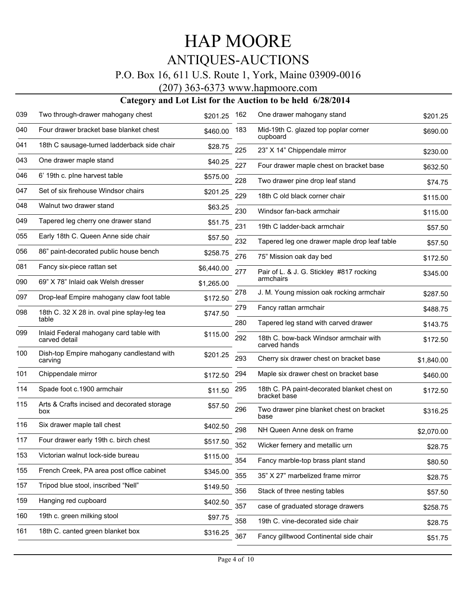### P.O. Box 16, 611 U.S. Route 1, York, Maine 03909-0016

(207) 363-6373 www.hapmoore.com

| 039 | Two through-drawer mahogany chest                    | \$201.25   | 162 | One drawer mahogany stand                                   | \$201.25   |
|-----|------------------------------------------------------|------------|-----|-------------------------------------------------------------|------------|
| 040 | Four drawer bracket base blanket chest               | \$460.00   | 183 | Mid-19th C. glazed top poplar corner<br>cupboard            | \$690.00   |
| 041 | 18th C sausage-turned ladderback side chair          | \$28.75    | 225 | 23" X 14" Chippendale mirror                                | \$230.00   |
| 043 | One drawer maple stand                               | \$40.25    | 227 | Four drawer maple chest on bracket base                     | \$632.50   |
| 046 | 6' 19th c. plne harvest table                        | \$575.00   | 228 | Two drawer pine drop leaf stand                             | \$74.75    |
| 047 | Set of six firehouse Windsor chairs                  | \$201.25   | 229 | 18th C old black corner chair                               | \$115.00   |
| 048 | Walnut two drawer stand                              | \$63.25    | 230 | Windsor fan-back armchair                                   | \$115.00   |
| 049 | Tapered leg cherry one drawer stand                  | \$51.75    | 231 | 19th C ladder-back armchair                                 | \$57.50    |
| 055 | Early 18th C. Queen Anne side chair                  | \$57.50    | 232 | Tapered leg one drawer maple drop leaf table                | \$57.50    |
| 056 | 86" paint-decorated public house bench               | \$258.75   | 276 | 75" Mission oak day bed                                     | \$172.50   |
| 081 | Fancy six-piece rattan set                           | \$6,440.00 | 277 | Pair of L. & J. G. Stickley #817 rocking                    | \$345.00   |
| 090 | 69" X 78" Inlaid oak Welsh dresser                   | \$1,265.00 |     | armchairs                                                   |            |
| 097 | Drop-leaf Empire mahogany claw foot table            | \$172.50   | 278 | J. M. Young mission oak rocking armchair                    | \$287.50   |
| 098 | 18th C. 32 X 28 in. oval pine splay-leg tea<br>table | \$747.50   | 279 | Fancy rattan armchair                                       | \$488.75   |
| 099 | Inlaid Federal mahogany card table with              |            | 280 | Tapered leg stand with carved drawer                        | \$143.75   |
|     | carved detail                                        | \$115.00   | 292 | 18th C. bow-back Windsor armchair with<br>carved hands      | \$172.50   |
| 100 | Dish-top Empire mahogany candlestand with<br>carving | \$201.25   | 293 | Cherry six drawer chest on bracket base                     | \$1,840.00 |
| 101 | Chippendale mirror                                   | \$172.50   | 294 | Maple six drawer chest on bracket base                      | \$460.00   |
| 114 | Spade foot c.1900 armchair                           | \$11.50    | 295 | 18th C. PA paint-decorated blanket chest on<br>bracket base | \$172.50   |
| 115 | Arts & Crafts incised and decorated storage<br>box   | \$57.50    | 296 | Two drawer pine blanket chest on bracket<br>base            | \$316.25   |
| 116 | Six drawer maple tall chest                          | \$402.50   | 298 | NH Queen Anne desk on frame                                 | \$2,070.00 |
| 117 | Four drawer early 19th c. birch chest                | \$517.50   | 352 | Wicker fernery and metallic urn                             | \$28.75    |
| 153 | Victorian walnut lock-side bureau                    | \$115.00   | 354 | Fancy marble-top brass plant stand                          | \$80.50    |
| 155 | French Creek, PA area post office cabinet            | \$345.00   | 355 | 35" X 27" marbelized frame mirror                           | \$28.75    |
| 157 | Tripod blue stool, inscribed "Nell"                  | \$149.50   | 356 | Stack of three nesting tables                               | \$57.50    |
| 159 | Hanging red cupboard                                 | \$402.50   | 357 | case of graduated storage drawers                           | \$258.75   |
| 160 | 19th c. green milking stool                          | \$97.75    | 358 | 19th C. vine-decorated side chair                           | \$28.75    |
| 161 | 18th C. canted green blanket box                     | \$316.25   | 367 | Fancy gilltwood Continental side chair                      | \$51.75    |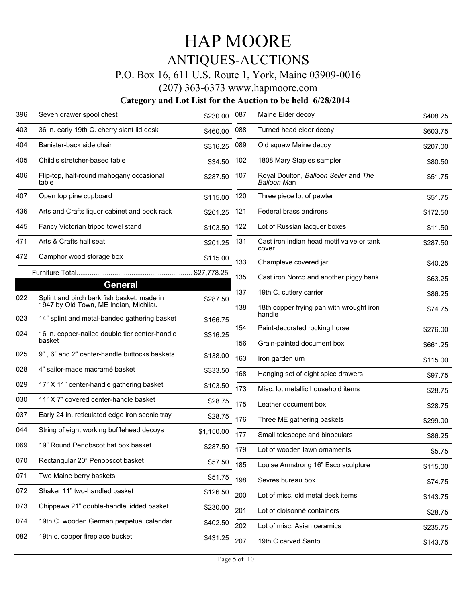### P.O. Box 16, 611 U.S. Route 1, York, Maine 03909-0016

(207) 363-6373 www.hapmoore.com

| 396 | Seven drawer spool chest                                     | \$230.00   | 087 | Maine Eider decoy                                    | \$408.25 |
|-----|--------------------------------------------------------------|------------|-----|------------------------------------------------------|----------|
| 403 | 36 in. early 19th C. cherry slant lid desk                   | \$460.00   | 088 | Turned head eider decoy                              | \$603.75 |
| 404 | Banister-back side chair                                     | \$316.25   | 089 | Old squaw Maine decoy                                | \$207.00 |
| 405 | Child's stretcher-based table                                | \$34.50    | 102 | 1808 Mary Staples sampler                            | \$80.50  |
| 406 | Flip-top, half-round mahogany occasional<br>table            | \$287.50   | 107 | Royal Doulton, Balloon Seller and The<br>Balloon Man | \$51.75  |
| 407 | Open top pine cupboard                                       | \$115.00   | 120 | Three piece lot of pewter                            | \$51.75  |
| 436 | Arts and Crafts liquor cabinet and book rack                 | \$201.25   | 121 | Federal brass andirons                               | \$172.50 |
| 445 | Fancy Victorian tripod towel stand                           | \$103.50   | 122 | Lot of Russian lacquer boxes                         | \$11.50  |
| 471 | Arts & Crafts hall seat                                      | \$201.25   | 131 | Cast iron indian head motif valve or tank<br>cover   | \$287.50 |
| 472 | Camphor wood storage box                                     | \$115.00   | 133 | Champleve covered jar                                | \$40.25  |
|     |                                                              |            | 135 | Cast iron Norco and another piggy bank               | \$63.25  |
| 022 | <b>General</b><br>Splint and birch bark fish basket, made in |            | 137 | 19th C. cutlery carrier                              | \$86.25  |
|     | 1947 by Old Town, ME Indian, Michilau                        | \$287.50   | 138 | 18th copper frying pan with wrought iron             | \$74.75  |
| 023 | 14" splint and metal-banded gathering basket                 | \$166.75   |     | handle                                               |          |
| 024 | 16 in. copper-nailed double tier center-handle<br>basket     | \$316.25   | 154 | Paint-decorated rocking horse                        | \$276.00 |
| 025 | 9", 6" and 2" center-handle buttocks baskets                 |            | 156 | Grain-painted document box                           | \$661.25 |
|     |                                                              | \$138.00   | 163 | Iron garden urn                                      | \$115.00 |
| 028 | 4" sailor-made macramé basket                                | \$333.50   | 168 | Hanging set of eight spice drawers                   | \$97.75  |
| 029 | 17" X 11" center-handle gathering basket                     | \$103.50   | 173 | Misc. lot metallic household items                   | \$28.75  |
| 030 | 11" X 7" covered center-handle basket                        | \$28.75    | 175 | Leather document box                                 | \$28.75  |
| 037 | Early 24 in. reticulated edge iron scenic tray               | \$28.75    | 176 | Three ME gathering baskets                           | \$299.00 |
| 044 | String of eight working bufflehead decoys                    | \$1,150.00 | 177 | Small telescope and binoculars                       | \$86.25  |
| 069 | 19" Round Penobscot hat box basket                           | \$287.50   | 179 | Lot of wooden lawn ornaments                         | \$5.75   |
| 070 | Rectangular 20" Penobscot basket                             | \$57.50    | 185 | Louise Armstrong 16" Esco sculpture                  | \$115.00 |
| 071 | Two Maine berry baskets                                      | \$51.75    | 198 | Sevres bureau box                                    | \$74.75  |
| 072 | Shaker 11" two-handled basket                                | \$126.50   | 200 | Lot of misc. old metal desk items                    | \$143.75 |
| 073 | Chippewa 21" double-handle lidded basket                     | \$230.00   | 201 | Lot of cloisonné containers                          | \$28.75  |
| 074 | 19th C. wooden German perpetual calendar                     | \$402.50   | 202 | Lot of misc. Asian ceramics                          | \$235.75 |
| 082 | 19th c. copper fireplace bucket                              | \$431.25   |     |                                                      |          |
|     |                                                              |            | 207 | 19th C carved Santo                                  | \$143.75 |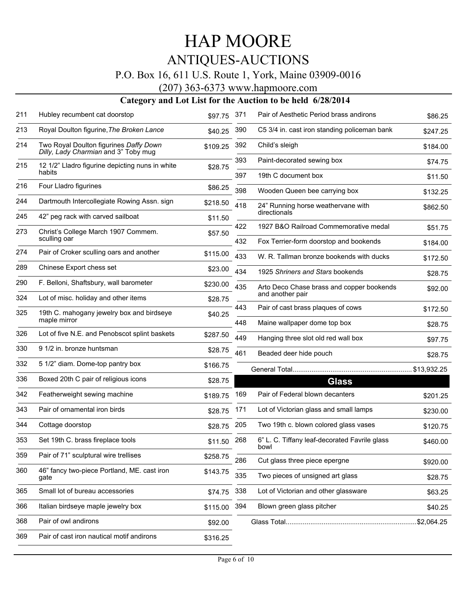### P.O. Box 16, 611 U.S. Route 1, York, Maine 03909-0016

(207) 363-6373 www.hapmoore.com

| 211 | Hubley recumbent cat doorstop                                                  | \$97.75  | 371        | Pair of Aesthetic Period brass andirons                                         | \$86.25             |
|-----|--------------------------------------------------------------------------------|----------|------------|---------------------------------------------------------------------------------|---------------------|
| 213 | Royal Doulton figurine, The Broken Lance                                       | \$40.25  | 390        | C5 3/4 in. cast iron standing policeman bank                                    | \$247.25            |
| 214 | Two Royal Doulton figurines Daffy Down<br>Dilly, Lady Charmian and 3" Toby mug | \$109.25 | 392        | Child's sleigh                                                                  | \$184.00            |
| 215 | 12 1/2" Lladro figurine depicting nuns in white                                | \$28.75  | 393        | Paint-decorated sewing box                                                      | \$74.75             |
|     | habits                                                                         |          | 397        | 19th C document box                                                             | \$11.50             |
| 216 | Four Lladro figurines                                                          | \$86.25  | 398        | Wooden Queen bee carrying box                                                   | \$132.25            |
| 244 | Dartmouth Intercollegiate Rowing Assn. sign                                    | \$218.50 | 418        | 24" Running horse weathervane with                                              | \$862.50            |
| 245 | 42" peg rack with carved sailboat                                              | \$11.50  |            | directionals                                                                    |                     |
| 273 | Christ's College March 1907 Commem.<br>sculling oar                            | \$57.50  | 422<br>432 | 1927 B&O Railroad Commemorative medal<br>Fox Terrier-form doorstop and bookends | \$51.75<br>\$184.00 |
| 274 | Pair of Croker sculling oars and another                                       | \$115.00 | 433        |                                                                                 |                     |
| 289 | Chinese Export chess set                                                       |          |            | W. R. Tallman bronze bookends with ducks                                        | \$172.50            |
|     |                                                                                | \$23.00  | 434        | 1925 Shriners and Stars bookends                                                | \$28.75             |
| 290 | F. Belloni, Shaftsbury, wall barometer                                         | \$230.00 | 435        | Arto Deco Chase brass and copper bookends<br>and another pair                   | \$92.00             |
| 324 | Lot of misc. holiday and other items                                           | \$28.75  | 443        | Pair of cast brass plaques of cows                                              | \$172.50            |
| 325 | 19th C. mahogany jewelry box and birdseye<br>maple mirror                      | \$40.25  | 448        | Maine wallpaper dome top box                                                    |                     |
| 326 | Lot of five N.E. and Penobscot splint baskets                                  | \$287.50 | 449        | Hanging three slot old red wall box                                             | \$28.75<br>\$97.75  |
| 330 | 9 1/2 in. bronze huntsman                                                      | \$28.75  | 461        | Beaded deer hide pouch                                                          | \$28.75             |
| 332 | 5 1/2" diam. Dome-top pantry box                                               | \$166.75 |            |                                                                                 | .\$13,932.25        |
| 336 | Boxed 20th C pair of religious icons                                           | \$28.75  |            | <b>Glass</b>                                                                    |                     |
| 342 | Featherweight sewing machine                                                   | \$189.75 | 169        | Pair of Federal blown decanters                                                 | \$201.25            |
| 343 | Pair of ornamental iron birds                                                  | \$28.75  | 171        | Lot of Victorian glass and small lamps                                          | \$230.00            |
| 344 | Cottage doorstop                                                               | \$28.75  | 205        | Two 19th c. blown colored glass vases                                           | \$120.75            |
| 353 | Set 19th C. brass fireplace tools                                              | \$11.50  | 268        | 6" L. C. Tiffany leaf-decorated Favrile glass<br>bowl                           | \$460.00            |
| 359 | Pair of 71" sculptural wire trellises                                          | \$258.75 | 286        | Cut glass three piece epergne                                                   | \$920.00            |
| 360 | 46" fancy two-piece Portland, ME. cast iron<br>gate                            | \$143.75 | 335        | Two pieces of unsigned art glass                                                | \$28.75             |
| 365 | Small lot of bureau accessories                                                | \$74.75  | 338        | Lot of Victorian and other glassware                                            | \$63.25             |
| 366 | Italian birdseye maple jewelry box                                             | \$115.00 | 394        | Blown green glass pitcher                                                       | \$40.25             |
| 368 | Pair of owl andirons                                                           | \$92.00  |            |                                                                                 | \$2,064.25          |
| 369 | Pair of cast iron nautical motif andirons                                      | \$316.25 |            |                                                                                 |                     |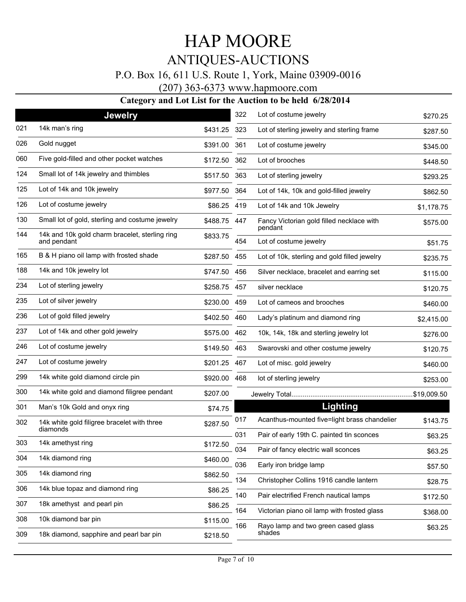### P.O. Box 16, 611 U.S. Route 1, York, Maine 03909-0016

#### (207) 363-6373 www.hapmoore.com

|     | <b>Jewelry</b>                                  |              | 322 | Lot of costume jewelry                       | \$270.25    |
|-----|-------------------------------------------------|--------------|-----|----------------------------------------------|-------------|
| 021 | 14k man's ring                                  | \$431.25     | 323 | Lot of sterling jewelry and sterling frame   | \$287.50    |
| 026 | Gold nugget                                     | \$391.00     | 361 | Lot of costume jewelry                       | \$345.00    |
| 060 | Five gold-filled and other pocket watches       | \$172.50     | 362 | Lot of brooches                              | \$448.50    |
| 124 | Small lot of 14k jewelry and thimbles           | \$517.50     | 363 | Lot of sterling jewelry                      | \$293.25    |
| 125 | Lot of 14k and 10k jewelry                      | \$977.50     | 364 | Lot of 14k, 10k and gold-filled jewelry      | \$862.50    |
| 126 | Lot of costume jewelry                          | \$86.25 419  |     | Lot of 14k and 10k Jewelry                   | \$1,178.75  |
| 130 | Small lot of gold, sterling and costume jewelry | \$488.75 447 |     | Fancy Victorian gold filled necklace with    | \$575.00    |
| 144 | 14k and 10k gold charm bracelet, sterling ring  | \$833.75     |     | pendant                                      |             |
|     | and pendant                                     |              | 454 | Lot of costume jewelry                       | \$51.75     |
| 165 | B & H piano oil lamp with frosted shade         | \$287.50 455 |     | Lot of 10k, sterling and gold filled jewelry | \$235.75    |
| 188 | 14k and 10k jewelry lot                         | \$747.50     | 456 | Silver necklace, bracelet and earring set    | \$115.00    |
| 234 | Lot of sterling jewelry                         | \$258.75 457 |     | silver necklace                              | \$120.75    |
| 235 | Lot of silver jewelry                           | \$230.00 459 |     | Lot of cameos and brooches                   | \$460.00    |
| 236 | Lot of gold filled jewelry                      | \$402.50     | 460 | Lady's platinum and diamond ring             | \$2,415.00  |
| 237 | Lot of 14k and other gold jewelry               | \$575.00 462 |     | 10k, 14k, 18k and sterling jewelry lot       | \$276.00    |
| 246 | Lot of costume jewelry                          | \$149.50 463 |     | Swarovski and other costume jewelry          | \$120.75    |
| 247 | Lot of costume jewelry                          | \$201.25 467 |     | Lot of misc. gold jewelry                    | \$460.00    |
| 299 | 14k white gold diamond circle pin               | \$920.00 468 |     | lot of sterling jewelry                      | \$253.00    |
| 300 | 14k white gold and diamond filigree pendant     | \$207.00     |     |                                              | \$19,009.50 |
| 301 | Man's 10k Gold and onyx ring                    | \$74.75      |     | Lighting                                     |             |
| 302 | 14k white gold filigree bracelet with three     | \$287.50     | 017 | Acanthus-mounted five=light brass chandelier | \$143.75    |
|     | diamonds                                        |              | 031 | Pair of early 19th C. painted tin sconces    | \$63.25     |
| 303 | 14k amethyst ring                               | \$172.50     | 034 | Pair of fancy electric wall sconces          | \$63.25     |
| 304 | 14k diamond ring                                | \$460.00     | 036 | Early iron bridge lamp                       | \$57.50     |
| 305 | 14k diamond ring                                | \$862.50     | 134 | Christopher Collins 1916 candle lantern      | \$28.75     |
| 306 | 14k blue topaz and diamond ring                 | \$86.25      | 140 | Pair electrified French nautical lamps       |             |
| 307 | 18k amethyst and pearl pin                      | \$86.25      | 164 | Victorian piano oil lamp with frosted glass  | \$172.50    |
| 308 | 10k diamond bar pin                             | \$115.00     | 166 | Rayo lamp and two green cased glass          | \$368.00    |
| 309 | 18k diamond, sapphire and pearl bar pin         | \$218.50     |     | shades                                       | \$63.25     |
|     |                                                 |              |     |                                              |             |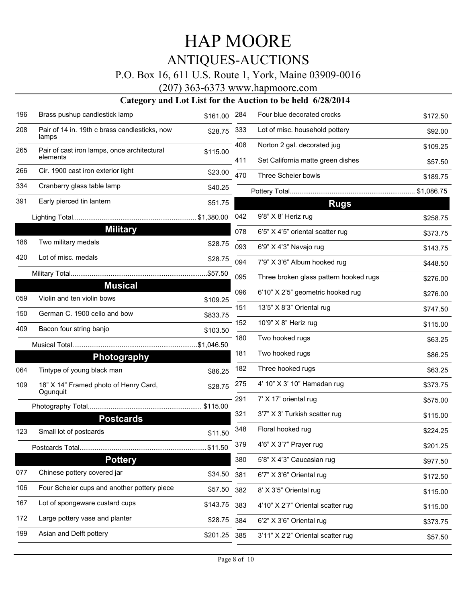### P.O. Box 16, 611 U.S. Route 1, York, Maine 03909-0016

(207) 363-6373 www.hapmoore.com

| 196 | Brass pushup candlestick lamp                          | \$161.00 | 284 | Four blue decorated crocks             | \$172.50 |
|-----|--------------------------------------------------------|----------|-----|----------------------------------------|----------|
| 208 | Pair of 14 in. 19th c brass candlesticks, now<br>lamps | \$28.75  | 333 | Lot of misc. household pottery         | \$92.00  |
| 265 | Pair of cast iron lamps, once architectural            | \$115.00 | 408 | Norton 2 gal. decorated jug            | \$109.25 |
|     | elements                                               |          | 411 | Set California matte green dishes      | \$57.50  |
| 266 | Cir. 1900 cast iron exterior light                     | \$23.00  | 470 | Three Scheier bowls                    | \$189.75 |
| 334 | Cranberry glass table lamp                             | \$40.25  |     |                                        |          |
| 391 | Early pierced tin lantern                              | \$51.75  |     | <b>Rugs</b>                            |          |
|     |                                                        |          | 042 | 9'8" X 8' Heriz rug                    | \$258.75 |
|     | <b>Military</b>                                        |          | 078 | 6'5" X 4'5" oriental scatter rug       | \$373.75 |
| 186 | Two military medals                                    | \$28.75  | 093 | 6'9" X 4'3" Navajo rug                 | \$143.75 |
| 420 | Lot of misc. medals                                    | \$28.75  | 094 | 7'9" X 3'6" Album hooked rug           | \$448.50 |
|     |                                                        |          | 095 | Three broken glass pattern hooked rugs | \$276.00 |
|     | <b>Musical</b>                                         |          | 096 | 6'10" X 2'5" geometric hooked rug      | \$276.00 |
| 059 | Violin and ten violin bows                             | \$109.25 | 151 | 13'5" X 8'3" Oriental rug              | \$747.50 |
| 150 | German C. 1900 cello and bow                           | \$833.75 | 152 | 10'9" X 8" Heriz rug                   | \$115.00 |
| 409 | Bacon four string banjo                                | \$103.50 | 180 | Two hooked rugs                        | \$63.25  |
|     |                                                        |          |     |                                        |          |
|     | <b>Photography</b>                                     |          | 181 | Two hooked rugs                        | \$86.25  |
| 064 | Tintype of young black man                             | \$86.25  | 182 | Three hooked rugs                      | \$63.25  |
| 109 | 18" X 14" Framed photo of Henry Card,<br>Ogunquit      | \$28.75  | 275 | 4' 10" X 3' 10" Hamadan rug            | \$373.75 |
|     |                                                        |          | 291 | 7' X 17' oriental rug                  | \$575.00 |
|     | <b>Postcards</b>                                       |          | 321 | 3'7" X 3' Turkish scatter rug          | \$115.00 |
| 123 | Small lot of postcards                                 | \$11.50  | 348 | Floral hooked rug                      | \$224.25 |
|     |                                                        | .\$11.50 | 379 | 4'6" X 3'7" Prayer rug                 | \$201.25 |
|     | <b>Pottery</b>                                         |          | 380 | 5'8" X 4'3" Caucasian rug              | \$977.50 |
| 077 | Chinese pottery covered jar                            | \$34.50  | 381 | 6'7" X 3'6" Oriental rug               | \$172.50 |
| 106 | Four Scheier cups and another pottery piece            | \$57.50  | 382 | 8' X 3'5" Oriental rug                 | \$115.00 |
| 167 | Lot of spongeware custard cups                         | \$143.75 | 383 | 4'10" X 2'7" Oriental scatter rug      | \$115.00 |
| 172 | Large pottery vase and planter                         | \$28.75  | 384 | 6'2" X 3'6" Oriental rug               | \$373.75 |
| 199 | Asian and Delft pottery                                | \$201.25 | 385 | 3'11" X 2'2" Oriental scatter rug      | \$57.50  |
|     |                                                        |          |     |                                        |          |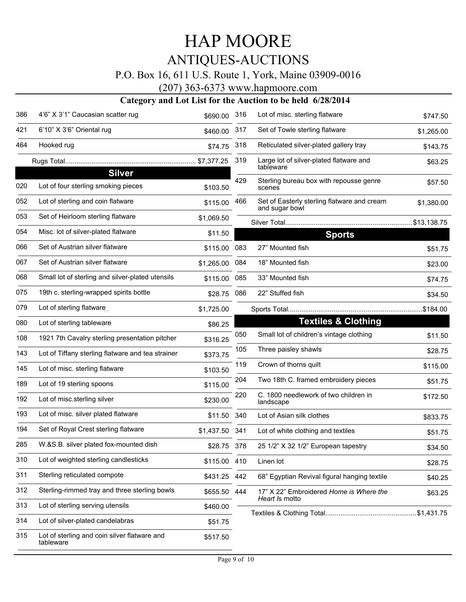### P.O. Box 16, 611 U.S. Route 1, York, Maine 03909-0016

(207) 363-6373 www.hapmoore.com

| 386 | 4'6" X 3'1" Caucasian scatter rug                         | \$690.00       | 316 | Lot of misc. sterling flatware                                | \$747.50   |
|-----|-----------------------------------------------------------|----------------|-----|---------------------------------------------------------------|------------|
| 421 | 6'10" X 3'6" Oriental rug                                 | \$460.00       | 317 | Set of Towle sterling flatware                                | \$1,265.00 |
| 464 | Hooked rug                                                | \$74.75        | 318 | Reticulated silver-plated gallery tray                        | \$143.75   |
|     |                                                           |                | 319 | Large lot of silver-plated flatware and<br>tableware          | \$63.25    |
| 020 | <b>Silver</b><br>Lot of four sterling smoking pieces      | \$103.50       | 429 | Sterling bureau box with repousse genre<br>scenes             | \$57.50    |
| 052 | Lot of sterling and coin flatware                         | \$115.00       | 466 | Set of Easterly sterling flatware and cream<br>and sugar bowl | \$1,380.00 |
| 053 | Set of Heirloom sterling flatware                         | \$1,069.50     |     |                                                               |            |
| 054 | Misc. lot of silver-plated flatware                       | \$11.50        |     | <b>Sports</b>                                                 |            |
| 066 | Set of Austrian silver flatware                           | \$115.00       | 083 | 27" Mounted fish                                              | \$51.75    |
| 067 | Set of Austrian silver flatware                           | \$1,265.00     | 084 | 18" Mounted fish                                              | \$23.00    |
| 068 | Small lot of sterling and silver-plated utensils          | \$115.00       | 085 | 33" Mounted fish                                              | \$74.75    |
| 075 | 19th c. sterling-wrapped spirits bottle                   | \$28.75        | 086 | 22" Stuffed fish                                              | \$34.50    |
| 079 | Lot of sterling flatware                                  | \$1,725.00     |     |                                                               |            |
| 080 | Lot of sterling tableware                                 | \$86.25        |     | <b>Textiles &amp; Clothing</b>                                |            |
| 108 | 1921 7th Cavalry sterling presentation pitcher            | \$316.25       | 050 | Small lot of children's vintage clothing                      | \$11.50    |
| 143 | Lot of Tiffany sterling flatware and tea strainer         | \$373.75       | 105 | Three paisley shawls                                          | \$28.75    |
| 145 | Lot of misc. sterling flatware                            | \$103.50       | 119 | Crown of thorns quilt                                         | \$115.00   |
| 189 | Lot of 19 sterling spoons                                 | \$115.00       | 204 | Two 18th C. framed embroidery pieces                          | \$51.75    |
| 192 | Lot of misc.sterling silver                               | \$230.00       | 220 | C. 1800 needlework of two children in<br>landscape            | \$172.50   |
| 193 | Lot of misc. silver plated flatware                       | \$11.50        | 340 | Lot of Asian silk clothes                                     | \$833.75   |
| 194 | Set of Royal Crest sterling flatware                      | \$1,437.50 341 |     | Lot of white clothing and textiles                            | \$51.75    |
| 285 | W.&S.B. silver plated fox-mounted dish                    | \$28.75        | 378 | 25 1/2" X 32 1/2" European tapestry                           | \$34.50    |
| 310 | Lot of weighted sterling candlesticks                     | \$115.00 410   |     | Linen lot                                                     | \$28.75    |
| 311 | Sterling reticulated compote                              | \$431.25 442   |     | 68" Egyptian Revival figural hanging textile                  | \$40.25    |
| 312 | Sterling-rimmed tray and three sterling bowls             | \$655.50 444   |     | 17" X 22" Embroidered Home is Where the                       | \$63.25    |
| 313 | Lot of sterling serving utensils                          | \$460.00       |     | Heart Is motto                                                |            |
| 314 | Lot of silver-plated candelabras                          | \$51.75        |     |                                                               |            |
| 315 | Lot of sterling and coin silver flatware and<br>tableware | \$517.50       |     |                                                               |            |